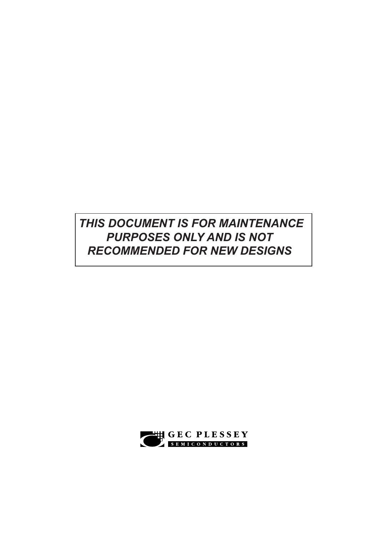## *THIS DOCUMENT IS FOR MAINTENANCE PURPOSES ONLY AND IS NOT RECOMMENDED FOR NEW DESIGNS*

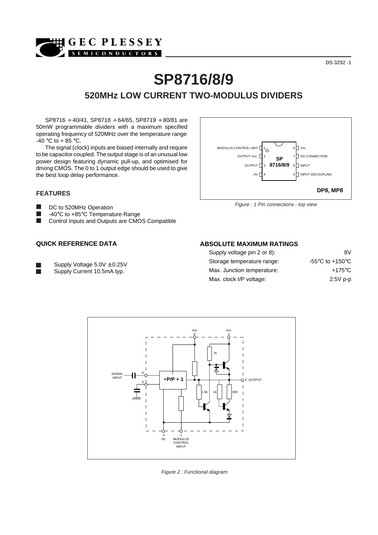## DS 3292 -1

# **SP8716/8/9 520MHz LOW CURRENT TWO-MODULUS DIVIDERS**

SP8716 ÷ 40/41, SP8718 ÷ 64/65, SP8719 ÷ 80/81 are 50mW programmable dividers with a maximum specified operating frequency of 520MHz over the temperature range -40 °C to + 85 °C.

**MHIGEC PLESSEY** SEMICONDUCTORS

The signal (clock) inputs are biased internally and require to be capacitor coupled. The output stage is of an unusual low power design featuring dynamic pull-up, and optimised for driving CMOS. The 0 to 1 output edge should be used to give the best loop delay performance.

#### **FEATURES**

 $\blacksquare$ DC to 520MHz Operation -40°C to +85°C Temperature Range  $\blacksquare$ Control Inputs and Outputs are CMOS Compatible

#### **QUICK REFERENCE DATA**

Supply Voltage 5.0V ± 0.25V

Supply Current 10.5mA typ.



Figure : 1 Pin connections - top view

#### **ABSOLUTE MAXIMUM RATINGS**

| Supply voltage pin 2 or 8): | 8V                                                    |
|-----------------------------|-------------------------------------------------------|
| Storage temperature range:  | -55 $\mathrm{^{\circ}C}$ to +150 $\mathrm{^{\circ}C}$ |
| Max. Junction temperature:  | $+175^{\circ}$ C                                      |
| Max. clock I/P voltage:     | $2.5V$ p-p                                            |



Figure 2 : Functional diagram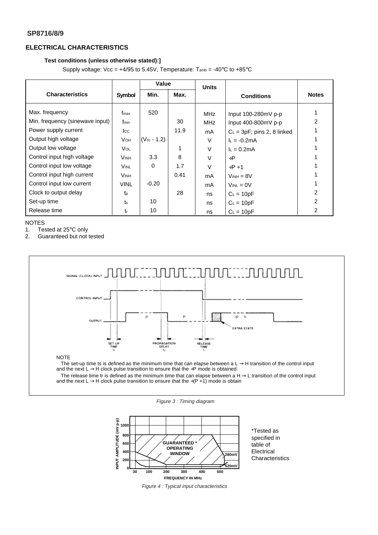#### **SP8716/8/9**

### **ELECTRICAL CHARACTERISTICS**

#### **Test conditions (unless otherwise stated):]**

Supply voltage:  $Vec = +4/95$  to 5.45V, Temperature:  $T_{amb} = -40^{\circ}C$  to  $+85^{\circ}C$ 

|                                 |                | Value            |      | <b>Units</b> |                                |              |
|---------------------------------|----------------|------------------|------|--------------|--------------------------------|--------------|
| <b>Characteristics</b>          | <b>Symbol</b>  | Min.             | Max. |              | <b>Conditions</b>              | <b>Notes</b> |
| Max. frequency                  | fmax           | 520              |      | <b>MHz</b>   | Input 100-280mV p-p            |              |
| Min. frequency (sinewave input) | fmin           |                  | 30   | <b>MHz</b>   | Input 400-800mV p-p            | 2            |
| Power supply current            | <b>I</b> cc    |                  | 11.9 | mA           | $C_L = 3pF$ ; pins 2, 8 linked |              |
| Output high voltage             | <b>V</b> он    | $(V_{cc} - 1.2)$ |      | $\vee$       | $L = -0.2mA$                   |              |
| Output low voltage              | <b>Vol</b>     |                  |      | V            | $I_L = 0.2mA$                  |              |
| Control input high voltage      | <b>VINH</b>    | 3.3              | 8    | $\vee$       | $+P$                           |              |
| Control input low voltage       | <b>VINL</b>    | $\Omega$         | 1.7  | $\vee$       | $+P+1$                         |              |
| Control input high current      | <b>VINH</b>    |                  | 0.41 | mA           | $V_{INH} = 8V$                 |              |
| Control input low current       | <b>VINL</b>    | $-0.20$          |      | mA           | $V_{INL} = 0V$                 |              |
| Clock to output delay           | t <sub>p</sub> |                  | 28   | ns           | $C_L = 10pF$                   | 2            |
| Set-up time                     | t <sub>s</sub> | 10               |      | ns           | $C_L = 10pF$                   | 2            |
| Release time                    | tr             | 10               |      | ns           | $C_L = 10pF$                   | 2            |

#### NOTES

1. Tested at 25°C only

2. Guaranteed but not tested







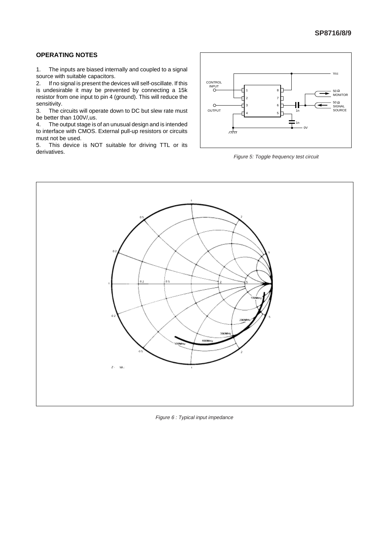#### **OPERATING NOTES**

1. The inputs are biased internally and coupled to a signal source with suitable capacitors.

2. If no signal is present the devices will self-oscillate. If this is undesirable it may be prevented by connecting a 15k resistor from one input to pin 4 (ground). This will reduce the sensitivity.

3. The circuits will operate down to DC but slew rate must be better than 100V/,us.

4. The output stage is of an unusual design and is intended to interface with CMOS. External pull-up resistors or circuits must not be used.

5. This device is NOT suitable for driving TTL or its derivatives.



Figure 5: Toggle frequency test circuit



Figure 6 : Typical input impedance